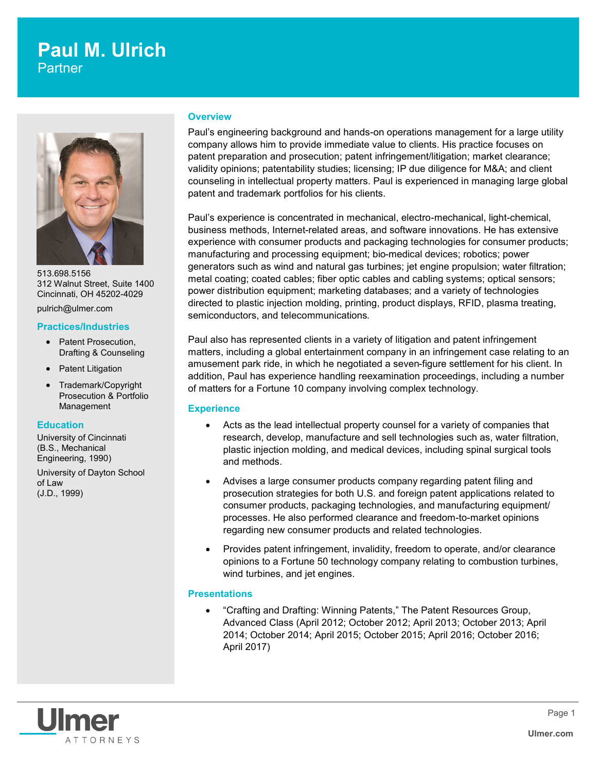## **Paul M. Ulrich Partner**



513.698.5156 312 Walnut Street, Suite 1400 Cincinnati, OH 45202-4029

pulrich@ulmer.com

#### **Practices/Industries**

- Patent Prosecution, Drafting & Counseling
- Patent Litigation
- Trademark/Copyright Prosecution & Portfolio Management

#### **Education**

University of Cincinnati (B.S., Mechanical Engineering, 1990)

University of Dayton School of Law (J.D., 1999)

#### **Overview**

Paul's engineering background and hands-on operations management for a large utility company allows him to provide immediate value to clients. His practice focuses on patent preparation and prosecution; patent infringement/litigation; market clearance; validity opinions; patentability studies; licensing; IP due diligence for M&A; and client counseling in intellectual property matters. Paul is experienced in managing large global patent and trademark portfolios for his clients.

Paul's experience is concentrated in mechanical, electro-mechanical, light-chemical, business methods, Internet-related areas, and software innovations. He has extensive experience with consumer products and packaging technologies for consumer products; manufacturing and processing equipment; bio-medical devices; robotics; power generators such as wind and natural gas turbines; jet engine propulsion; water filtration; metal coating; coated cables; fiber optic cables and cabling systems; optical sensors; power distribution equipment; marketing databases; and a variety of technologies directed to plastic injection molding, printing, product displays, RFID, plasma treating, semiconductors, and telecommunications.

Paul also has represented clients in a variety of litigation and patent infringement matters, including a global entertainment company in an infringement case relating to an amusement park ride, in which he negotiated a seven-figure settlement for his client. In addition, Paul has experience handling reexamination proceedings, including a number of matters for a Fortune 10 company involving complex technology.

#### **Experience**

- Acts as the lead intellectual property counsel for a variety of companies that research, develop, manufacture and sell technologies such as, water filtration, plastic injection molding, and medical devices, including spinal surgical tools and methods.
- Advises a large consumer products company regarding patent filing and prosecution strategies for both U.S. and foreign patent applications related to consumer products, packaging technologies, and manufacturing equipment/ processes. He also performed clearance and freedom-to-market opinions regarding new consumer products and related technologies.
- Provides patent infringement, invalidity, freedom to operate, and/or clearance opinions to a Fortune 50 technology company relating to combustion turbines, wind turbines, and jet engines.

## **Presentations**

 "Crafting and Drafting: Winning Patents," The Patent Resources Group, Advanced Class (April 2012; October 2012; April 2013; October 2013; April 2014; October 2014; April 2015; October 2015; April 2016; October 2016; April 2017)